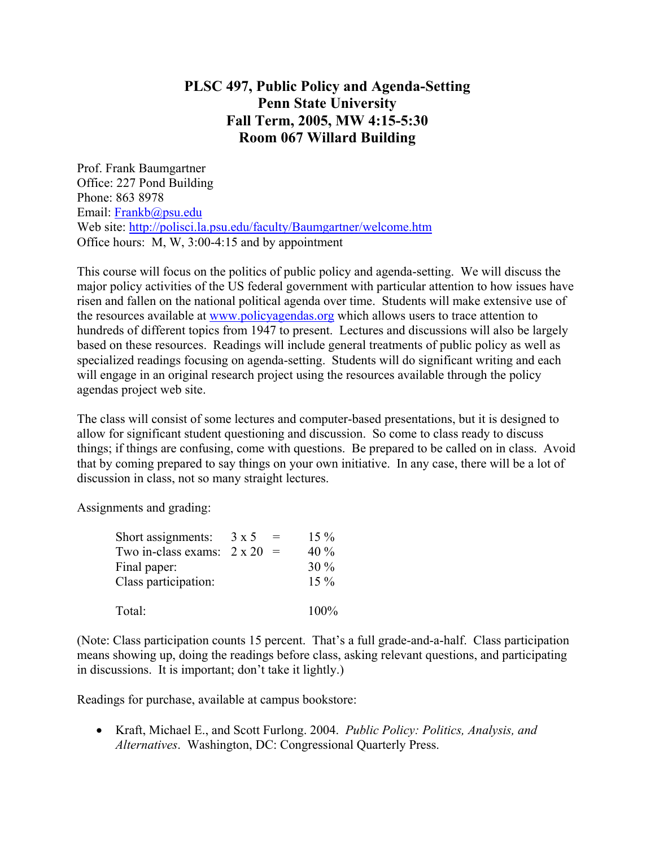## **PLSC 497, Public Policy and Agenda-Setting Penn State University Fall Term, 2005, MW 4:15-5:30 Room 067 Willard Building**

Prof. Frank Baumgartner Office: 227 Pond Building Phone: 863 8978 Email: Frankb@psu.edu Web site: http://polisci.la.psu.edu/faculty/Baumgartner/welcome.htm Office hours: M, W, 3:00-4:15 and by appointment

This course will focus on the politics of public policy and agenda-setting. We will discuss the major policy activities of the US federal government with particular attention to how issues have risen and fallen on the national political agenda over time. Students will make extensive use of the resources available at www.policyagendas.org which allows users to trace attention to hundreds of different topics from 1947 to present. Lectures and discussions will also be largely based on these resources. Readings will include general treatments of public policy as well as specialized readings focusing on agenda-setting. Students will do significant writing and each will engage in an original research project using the resources available through the policy agendas project web site.

The class will consist of some lectures and computer-based presentations, but it is designed to allow for significant student questioning and discussion. So come to class ready to discuss things; if things are confusing, come with questions. Be prepared to be called on in class. Avoid that by coming prepared to say things on your own initiative. In any case, there will be a lot of discussion in class, not so many straight lectures.

Assignments and grading:

| Short assignments:                | $3 \times 5$ | $=$ | $15\%$ |
|-----------------------------------|--------------|-----|--------|
| Two in-class exams: $2 \times 20$ |              | $=$ | 40%    |
| Final paper:                      |              |     | $30\%$ |
| Class participation:              |              |     | $15\%$ |
| Total:                            |              |     | 100%   |

(Note: Class participation counts 15 percent. That's a full grade-and-a-half. Class participation means showing up, doing the readings before class, asking relevant questions, and participating in discussions. It is important; don't take it lightly.)

Readings for purchase, available at campus bookstore:

• Kraft, Michael E., and Scott Furlong. 2004. *Public Policy: Politics, Analysis, and Alternatives*. Washington, DC: Congressional Quarterly Press.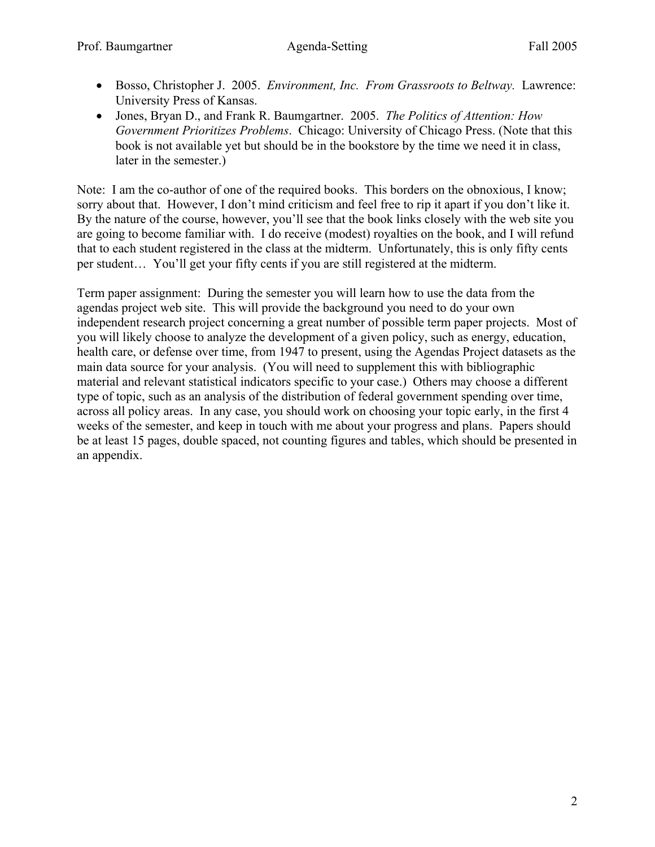- Bosso, Christopher J. 2005. *Environment, Inc. From Grassroots to Beltway.* Lawrence: University Press of Kansas.
- Jones, Bryan D., and Frank R. Baumgartner. 2005. *The Politics of Attention: How Government Prioritizes Problems*. Chicago: University of Chicago Press. (Note that this book is not available yet but should be in the bookstore by the time we need it in class, later in the semester.)

Note: I am the co-author of one of the required books. This borders on the obnoxious, I know; sorry about that. However, I don't mind criticism and feel free to rip it apart if you don't like it. By the nature of the course, however, you'll see that the book links closely with the web site you are going to become familiar with. I do receive (modest) royalties on the book, and I will refund that to each student registered in the class at the midterm. Unfortunately, this is only fifty cents per student… You'll get your fifty cents if you are still registered at the midterm.

Term paper assignment: During the semester you will learn how to use the data from the agendas project web site. This will provide the background you need to do your own independent research project concerning a great number of possible term paper projects. Most of you will likely choose to analyze the development of a given policy, such as energy, education, health care, or defense over time, from 1947 to present, using the Agendas Project datasets as the main data source for your analysis. (You will need to supplement this with bibliographic material and relevant statistical indicators specific to your case.) Others may choose a different type of topic, such as an analysis of the distribution of federal government spending over time, across all policy areas. In any case, you should work on choosing your topic early, in the first 4 weeks of the semester, and keep in touch with me about your progress and plans. Papers should be at least 15 pages, double spaced, not counting figures and tables, which should be presented in an appendix.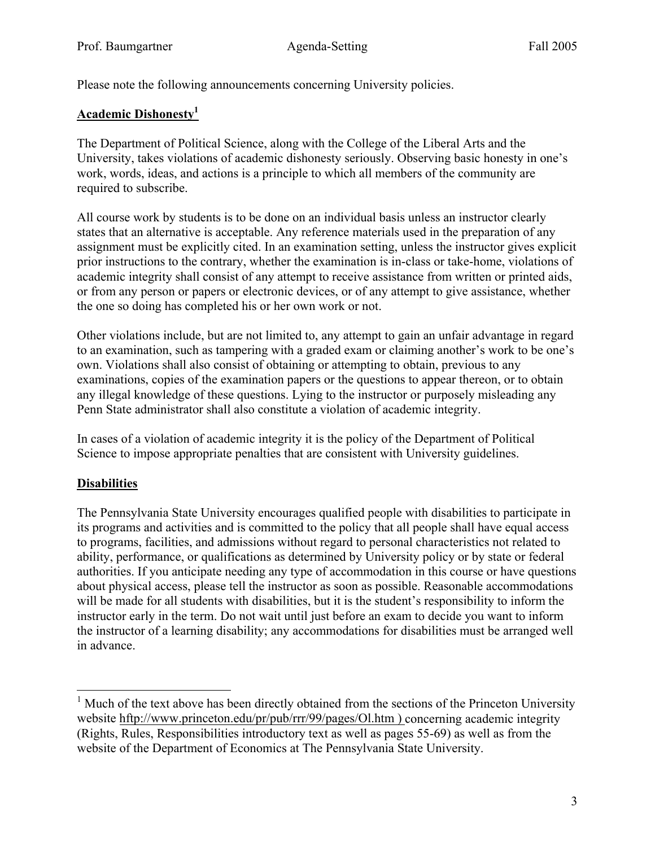Please note the following announcements concerning University policies.

## **Academic Dishonesty1**

The Department of Political Science, along with the College of the Liberal Arts and the University, takes violations of academic dishonesty seriously. Observing basic honesty in one's work, words, ideas, and actions is a principle to which all members of the community are required to subscribe.

All course work by students is to be done on an individual basis unless an instructor clearly states that an alternative is acceptable. Any reference materials used in the preparation of any assignment must be explicitly cited. In an examination setting, unless the instructor gives explicit prior instructions to the contrary, whether the examination is in-class or take-home, violations of academic integrity shall consist of any attempt to receive assistance from written or printed aids, or from any person or papers or electronic devices, or of any attempt to give assistance, whether the one so doing has completed his or her own work or not.

Other violations include, but are not limited to, any attempt to gain an unfair advantage in regard to an examination, such as tampering with a graded exam or claiming another's work to be one's own. Violations shall also consist of obtaining or attempting to obtain, previous to any examinations, copies of the examination papers or the questions to appear thereon, or to obtain any illegal knowledge of these questions. Lying to the instructor or purposely misleading any Penn State administrator shall also constitute a violation of academic integrity.

In cases of a violation of academic integrity it is the policy of the Department of Political Science to impose appropriate penalties that are consistent with University guidelines.

## **Disabilities**

The Pennsylvania State University encourages qualified people with disabilities to participate in its programs and activities and is committed to the policy that all people shall have equal access to programs, facilities, and admissions without regard to personal characteristics not related to ability, performance, or qualifications as determined by University policy or by state or federal authorities. If you anticipate needing any type of accommodation in this course or have questions about physical access, please tell the instructor as soon as possible. Reasonable accommodations will be made for all students with disabilities, but it is the student's responsibility to inform the instructor early in the term. Do not wait until just before an exam to decide you want to inform the instructor of a learning disability; any accommodations for disabilities must be arranged well in advance.

<sup>&</sup>lt;sup>1</sup> Much of the text above has been directly obtained from the sections of the Princeton University website hftp://www.princeton.edu/pr/pub/rrr/99/pages/Ol.htm ) concerning academic integrity (Rights, Rules, Responsibilities introductory text as well as pages 55-69) as well as from the website of the Department of Economics at The Pennsylvania State University.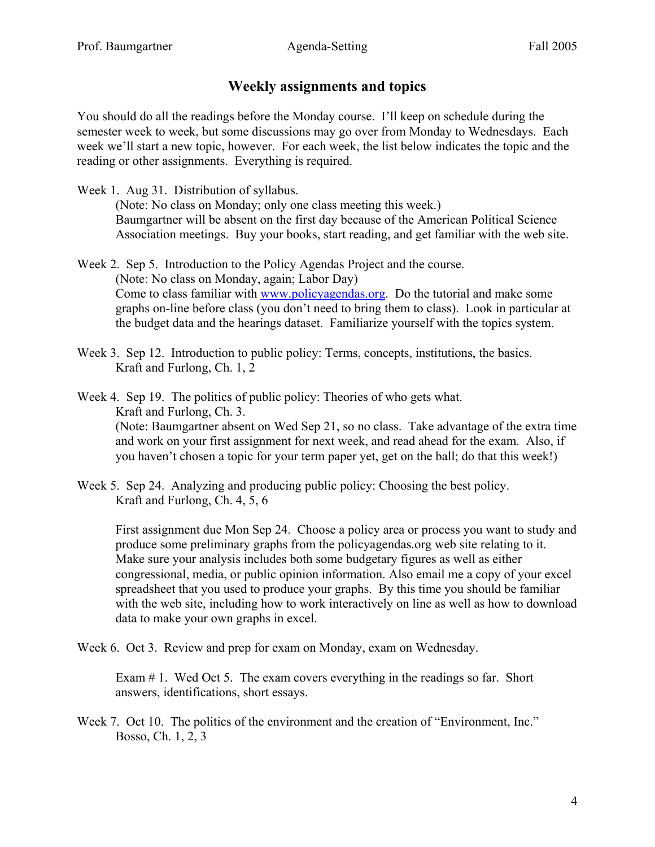## **Weekly assignments and topics**

You should do all the readings before the Monday course. I'll keep on schedule during the semester week to week, but some discussions may go over from Monday to Wednesdays. Each week we'll start a new topic, however. For each week, the list below indicates the topic and the reading or other assignments. Everything is required.

- Week 1. Aug 31. Distribution of syllabus. (Note: No class on Monday; only one class meeting this week.) Baumgartner will be absent on the first day because of the American Political Science Association meetings. Buy your books, start reading, and get familiar with the web site.
- Week 2. Sep 5. Introduction to the Policy Agendas Project and the course. (Note: No class on Monday, again; Labor Day) Come to class familiar with www.policyagendas.org. Do the tutorial and make some graphs on-line before class (you don't need to bring them to class). Look in particular at the budget data and the hearings dataset. Familiarize yourself with the topics system.
- Week 3. Sep 12. Introduction to public policy: Terms, concepts, institutions, the basics. Kraft and Furlong, Ch. 1, 2

Week 4. Sep 19. The politics of public policy: Theories of who gets what. Kraft and Furlong, Ch. 3. (Note: Baumgartner absent on Wed Sep 21, so no class. Take advantage of the extra time and work on your first assignment for next week, and read ahead for the exam. Also, if you haven't chosen a topic for your term paper yet, get on the ball; do that this week!)

Week 5. Sep 24. Analyzing and producing public policy: Choosing the best policy. Kraft and Furlong, Ch. 4, 5, 6

First assignment due Mon Sep 24. Choose a policy area or process you want to study and produce some preliminary graphs from the policyagendas.org web site relating to it. Make sure your analysis includes both some budgetary figures as well as either congressional, media, or public opinion information. Also email me a copy of your excel spreadsheet that you used to produce your graphs. By this time you should be familiar with the web site, including how to work interactively on line as well as how to download data to make your own graphs in excel.

Week 6. Oct 3. Review and prep for exam on Monday, exam on Wednesday.

Exam # 1. Wed Oct 5. The exam covers everything in the readings so far. Short answers, identifications, short essays.

Week 7. Oct 10. The politics of the environment and the creation of "Environment, Inc." Bosso, Ch. 1, 2, 3